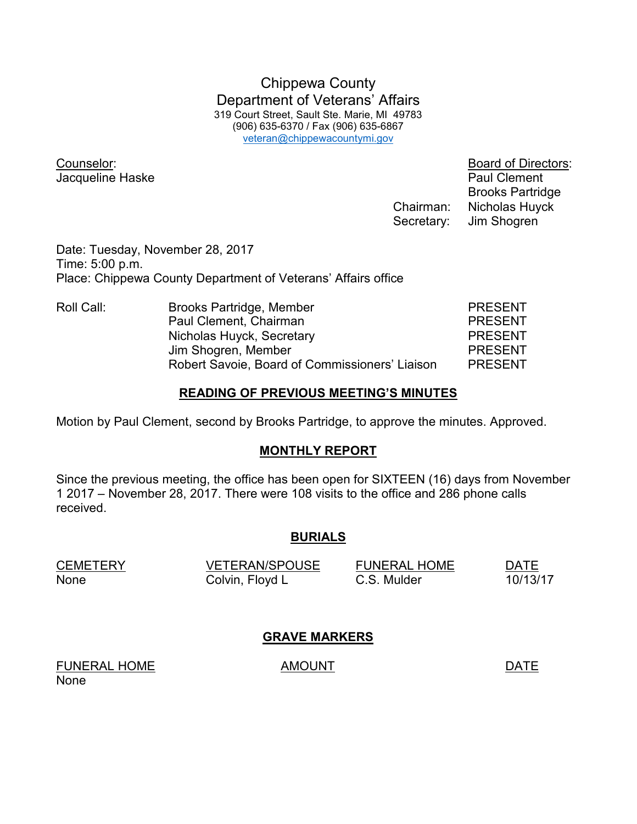Chippewa County Department of Veterans' Affairs 319 Court Street, Sault Ste. Marie, MI 49783 (906) 635-6370 / Fax (906) 635-6867 veteran@chippewacountymi.gov

Jacqueline Haske **Paul Clement** 

Counselor: Board of Directors: Brooks Partridge Chairman: Nicholas Huyck Secretary: Jim Shogren

Date: Tuesday, November 28, 2017 Time: 5:00 p.m. Place: Chippewa County Department of Veterans' Affairs office

| Roll Call: | Brooks Partridge, Member                       | <b>PRESENT</b> |
|------------|------------------------------------------------|----------------|
|            | Paul Clement, Chairman                         | <b>PRESENT</b> |
|            | Nicholas Huyck, Secretary                      | <b>PRESENT</b> |
|            | Jim Shogren, Member                            | <b>PRESENT</b> |
|            | Robert Savoie, Board of Commissioners' Liaison | <b>PRESENT</b> |

### **READING OF PREVIOUS MEETING'S MINUTES**

Motion by Paul Clement, second by Brooks Partridge, to approve the minutes. Approved.

## **MONTHLY REPORT**

Since the previous meeting, the office has been open for SIXTEEN (16) days from November 1 2017 – November 28, 2017. There were 108 visits to the office and 286 phone calls received.

#### **BURIALS**

| <b>CEMETERY</b> | <b>VETERAN/SPOUSE</b> | <b>FUNERAL HOME</b> | <b>DATE</b> |
|-----------------|-----------------------|---------------------|-------------|
| None            | Colvin, Floyd L       | C.S. Mulder         | 10/13/17    |

## **GRAVE MARKERS**

FUNERAL HOME AMOUNT AMOUNT None